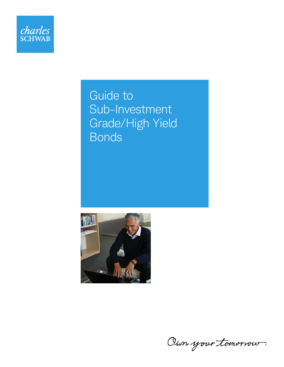

# Guide to Sub-Investment Grade/High Yield Bonds



Oun your tomorrow.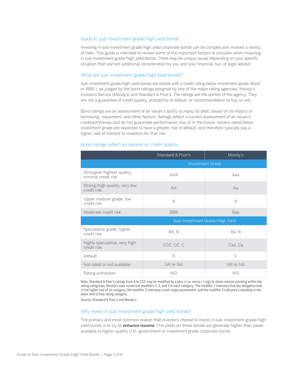# Guide to sub-investment grade/high yield bonds

Investing in sub-investment grade/high yield corporate bonds can be complex and involves a variety of risks. This guide is intended to review some of the important factors to consider when investing in sub-investment grade/high yield bonds. There may be unique issues depending on your specific situation that warrant additional consideration by you and your financial, tax, or legal advisor.

# What are sub-investment grade/high yield bonds?

Sub-investment grade/high yield bonds are bonds with a credit rating below investment grade (Baa3 or BBB-), as judged by the bond ratings assigned by one of the major rating agencies: Moody's Investors Service (Moody's) and Standard & Poor's. The ratings are the opinion of the agency. They are not a guarantee of credit quality, probability of default, or recommendation to buy or sell.

Bond ratings are an assessment of an issuer's ability to repay its debt, based on its history of borrowing, repayment, and other factors. Ratings reflect a current assessment of an issuer's creditworthiness and do not guarantee performance now or in the future. Issuers rated below investment grade are expected to have a greater risk of default, and therefore typically pay a higher rate of interest to investors for that risk.

|                                                   | Standard & Poor's               | Moody's   |  |
|---------------------------------------------------|---------------------------------|-----------|--|
|                                                   | <b>Investment Grade</b>         |           |  |
| Strongest/highest quality,<br>minimal credit risk | AAA                             | Aaa       |  |
| Strong/high quality, very low<br>credit risk      | AA                              | Aa        |  |
| Upper medium grade, low<br>credit risk            | A                               | A         |  |
| Moderate credit risk                              | <b>BBB</b>                      | Baa       |  |
|                                                   | Sub-Investment Grade/High Yield |           |  |
| Speculative grade, higher<br>credit risk          | BB, B                           | Ba, B     |  |
| Highly speculative, very high<br>credit risk      | CCC, CC, C                      | Caa, Ca   |  |
| Default                                           | D                               | C         |  |
| Not rated or not available                        | NR or NA                        | NR or NA  |  |
| Rating withdrawn                                  | <b>WD</b>                       | <b>WD</b> |  |

#### Bond ratings reflect an opinion on credit quality.

Note: Standard & Poor's ratings from A to CCC may be modified by a plus (+) or minus (-) sign to show relative standing within the rating categories. Moody's uses numerical modifiers 1, 2, and 3 in each category: The modifier 1 indicates that the obligation falls in the higher end of its category; the modifier 2 indicates a mid-range assessment; and the modifier 3 indicates a standing in the lower end of that rating category.

Source: Standard & Poor's and Moody's.

# Why invest in sub-investment grade/high yield bonds?

The primary and most common reason that investors choose to invest in sub-investment grade/high yield bonds is to try to **enhance income**. The yields on these bonds are generally higher than yields available in higher-quality U.S.-government or investment grade corporate bonds.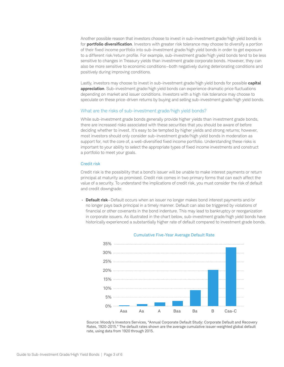Another possible reason that investors choose to invest in sub-investment grade/high yield bonds is for **portfolio diversification**. Investors with greater risk tolerance may choose to diversify a portion of their fixed income portfolio into sub-investment grade/high yield bonds in order to get exposure to a different risk/return profile. For example, sub-investment grade/high yield bonds tend to be less sensitive to changes in Treasury yields than investment grade corporate bonds. However, they can also be more sensitive to economic conditions—both negatively during deteriorating conditions and positively during improving conditions.

Lastly, investors may choose to invest in sub-investment grade/high yield bonds for possible **capital appreciation**. Sub-investment grade/high yield bonds can experience dramatic price fluctuations depending on market and issuer conditions. Investors with a high risk tolerance may choose to speculate on these price-driven returns by buying and selling sub-investment grade/high yield bonds.

# What are the risks of sub-investment grade/high yield bonds?

While sub-investment grade bonds generally provide higher yields than investment grade bonds, there are increased risks associated with these securities that you should be aware of before deciding whether to invest. It's easy to be tempted by higher yields and strong returns; however, most investors should only consider sub-investment grade/high yield bonds in moderation as support for, not the core of, a well-diversified fixed income portfolio. Understanding these risks is important to your ability to select the appropriate types of fixed income investments and construct a portfolio to meet your goals.

# Credit risk

Credit risk is the possibility that a bond's issuer will be unable to make interest payments or return principal at maturity as promised. Credit risk comes in two primary forms that can each affect the value of a security. To understand the implications of credit risk, you must consider the risk of default and credit downgrade:

• **Default risk**—Default occurs when an issuer no longer makes bond interest payments and/or no longer pays back principal in a timely manner. Default can also be triggered by violations of financial or other covenants in the bond indenture. This may lead to bankruptcy or reorganization in corporate issuers. As illustrated in the chart below, sub-investment grade/high yield bonds have historically experienced a substantially higher rate of default compared to investment grade bonds.



#### Cumulative Five-Year Average Default Rate

Source: Moody's Investors Services, "Annual Corporate Default Study: Corporate Default and Recovery Rates, 1920-2015." The default rates shown are the average cumulative issuer-weighted global default rate, using data from 1920 through 2015.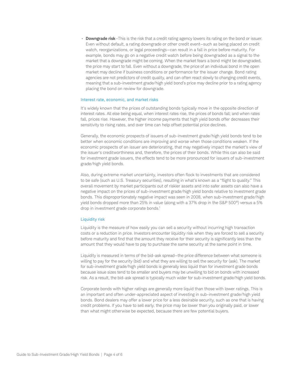**Downgrade risk**—This is the risk that a credit rating agency lowers its rating on the bond or issuer. Even without default, a rating downgrade or other credit event—such as being placed on credit watch, reorganizations, or legal proceedings—can result in a fall in price before maturity. For example, bonds may go on a negative credit watch before being downgraded as a signal to the market that a downgrade might be coming. When the market fears a bond might be downgraded, the price may start to fall. Even without a downgrade, the price of an individual bond in the open market may decline if business conditions or performance for the issuer change. Bond rating agencies are not predictors of credit quality, and can often react slowly to changing credit events, meaning that a sub-investment grade/high yield bond's price may decline prior to a rating agency placing the bond on review for downgrade.

## Interest rate, economic, and market risks

It's widely known that the prices of outstanding bonds typically move in the opposite direction of interest rates. All else being equal, when interest rates rise, the prices of bonds fall; and when rates fall, prices rise. However, the higher income payments that high yield bonds offer decreases their sensitivity to rising rates, and over time can help offset potential price declines.

Generally, the economic prospects of issuers of sub-investment grade/high yield bonds tend to be better when economic conditions are improving and worse when those conditions weaken. If the economic prospects of an issuer are deteriorating, that may negatively impact the market's view of the issuer's creditworthiness and, therefore, the prices of their bonds. While this can also be said for investment grade issuers, the effects tend to be more pronounced for issuers of sub-investment grade/high yield bonds.

Also, during extreme market uncertainty, investors often flock to investments that are considered to be safe (such as U.S. Treasury securities), resulting in what's known as a "flight to quality." This overall movement by market participants out of riskier assets and into safer assets can also have a negative impact on the prices of sub-investment grade/high yield bonds relative to investment grade bonds. This disproportionately negative impact was seen in 2008, when sub-investment grade/high yield bonds dropped more than 25% in value (along with a 37% drop in the S&P 500®) versus a 5% drop in investment grade corporate bonds.<sup>1</sup>

# Liquidity risk

Liquidity is the measure of how easily you can sell a security without incurring high transaction costs or a reduction in price. Investors encounter liquidity risk when they are forced to sell a security before maturity and find that the amount they receive for their security is significantly less than the amount that they would have to pay to purchase the same security at the same point in time.

Liquidity is measured in terms of the bid-ask spread—the price difference between what someone is willing to pay for the security (bid) and what they are willing to sell the security for (ask). The market for sub-investment grade/high yield bonds is generally less liquid than for investment grade bonds because issue sizes tend to be smaller and buyers may be unwilling to bid on bonds with increased risk. As a result, the bid-ask spread is typically much wider for sub-investment grade/high yield bonds.

Corporate bonds with higher ratings are generally more liquid than those with lower ratings. This is an important and often under-appreciated aspect of investing in sub-investment grade/high yield bonds. Bond dealers may offer a lower price for a less desirable security, such as one that is having credit problems. If you have to sell early, the price may be lower than you originally paid, or lower than what might otherwise be expected, because there are few potential buyers.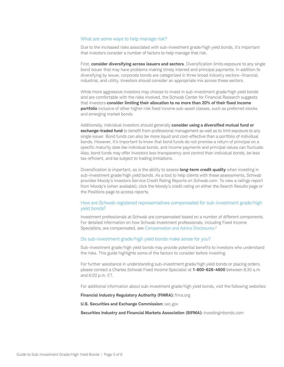## What are some ways to help manage risk?

Due to the increased risks associated with sub-investment grade/high yield bonds, it's important that investors consider a number of factors to help manage that risk.

First, **consider diversifying across issuers and sectors**. Diversification limits exposure to any single bond issuer that may have problems making timely interest and principal payments. In addition to diversifying by issuer, corporate bonds are categorized in three broad industry sectors—financial, industrial, and utility. Investors should consider an appropriate mix across these sectors.

While more aggressive investors may choose to invest in sub-investment grade/high yield bonds and are comfortable with the risks involved, the Schwab Center for Financial Research suggests that investors **consider limiting their allocation to no more than 20% of their fixed income portfolio** inclusive of other higher-risk fixed income sub-asset classes, such as preferred stocks and emerging market bonds.

Additionally, individual investors should generally **consider using a diversified mutual fund or exchange-traded fund** to benefit from professional management as well as to limit exposure to any single issuer. Bond funds can also be more liquid and cost-effective than a portfolio of individual bonds. However, it's important to know that bond funds do not promise a return of principal on a specific maturity date like individual bonds, and income payments and principal values can fluctuate. Also, bond funds may offer investors less transparency and control than individual bonds, be less tax-efficient, and be subject to trading limitations.

Diversification is important, as is the ability to assess **long-term credit quality** when investing in sub-investment grade/high yield bonds. As a tool to help clients with these assessments, Schwab provides Moody's Investors Service Credit Rating Reports on [Schwab.com.](http://Schwab.com) To view a ratings report from Moody's (when available), click the Moody's credit rating on either the Search Results page or the Positions page to access reports.

# How are Schwab registered representatives compensated for sub-investment grade/high yield bonds?

Investment professionals at Schwab are compensated based on a number of different components. For detailed information on how Schwab investment professionals, including Fixed Income Specialists, are compensated, see [Compensation and Advice Disclosures.](http://www.schwab.com/public/schwab/nn/legal_compliance/compensation_advice_disclosures/) 2

## Do sub-investment grade/high yield bonds make sense for you?

Sub-investment grade/high yield bonds may provide potential benefits to investors who understand the risks. This guide highlights some of the factors to consider before investing.

For further assistance in understanding sub-investment grade/high yield bonds or placing orders, please contact a Charles Schwab Fixed Income Specialist at **1-800-626-4600** between 8:30 a.m. and 6:00 p.m. ET.

For additional information about sub-investment grade/high yield bonds, visit the following websites:

# **Financial Industry Regulatory Authority (FINRA):** [finra.org](http://finra.org)

#### **U.S. Securities and Exchange Commission:** [sec.gov](http://sec.gov)

**Securities Industry and Financial Markets Association (SIFMA):** [investinginbonds.com](http://www.sifma.org/)